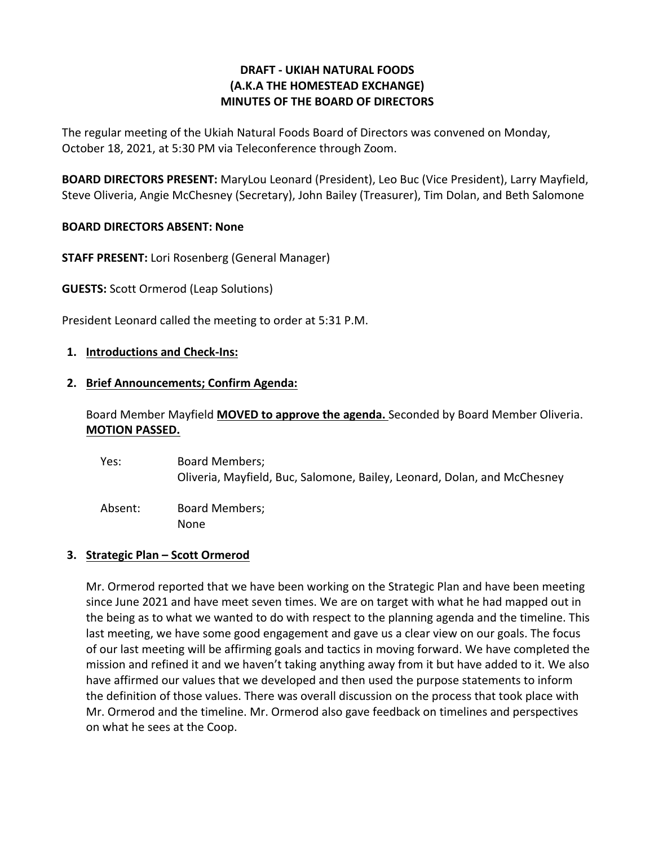## **DRAFT - UKIAH NATURAL FOODS (A.K.A THE HOMESTEAD EXCHANGE) MINUTES OF THE BOARD OF DIRECTORS**

The regular meeting of the Ukiah Natural Foods Board of Directors was convened on Monday, October 18, 2021, at 5:30 PM via Teleconference through Zoom.

**BOARD DIRECTORS PRESENT:** MaryLou Leonard (President), Leo Buc (Vice President), Larry Mayfield, Steve Oliveria, Angie McChesney (Secretary), John Bailey (Treasurer), Tim Dolan, and Beth Salomone

## **BOARD DIRECTORS ABSENT: None**

**STAFF PRESENT:** Lori Rosenberg (General Manager)

**GUESTS:** Scott Ormerod (Leap Solutions)

President Leonard called the meeting to order at 5:31 P.M.

### **1. Introductions and Check-Ins:**

### **2. Brief Announcements; Confirm Agenda:**

Board Member Mayfield **MOVED to approve the agenda.** Seconded by Board Member Oliveria. **MOTION PASSED.**

| Yes:    | Board Members;<br>Oliveria, Mayfield, Buc, Salomone, Bailey, Leonard, Dolan, and McChesney |
|---------|--------------------------------------------------------------------------------------------|
| Absent: | Board Members;<br>None                                                                     |

### **3. Strategic Plan – Scott Ormerod**

Mr. Ormerod reported that we have been working on the Strategic Plan and have been meeting since June 2021 and have meet seven times. We are on target with what he had mapped out in the being as to what we wanted to do with respect to the planning agenda and the timeline. This last meeting, we have some good engagement and gave us a clear view on our goals. The focus of our last meeting will be affirming goals and tactics in moving forward. We have completed the mission and refined it and we haven't taking anything away from it but have added to it. We also have affirmed our values that we developed and then used the purpose statements to inform the definition of those values. There was overall discussion on the process that took place with Mr. Ormerod and the timeline. Mr. Ormerod also gave feedback on timelines and perspectives on what he sees at the Coop.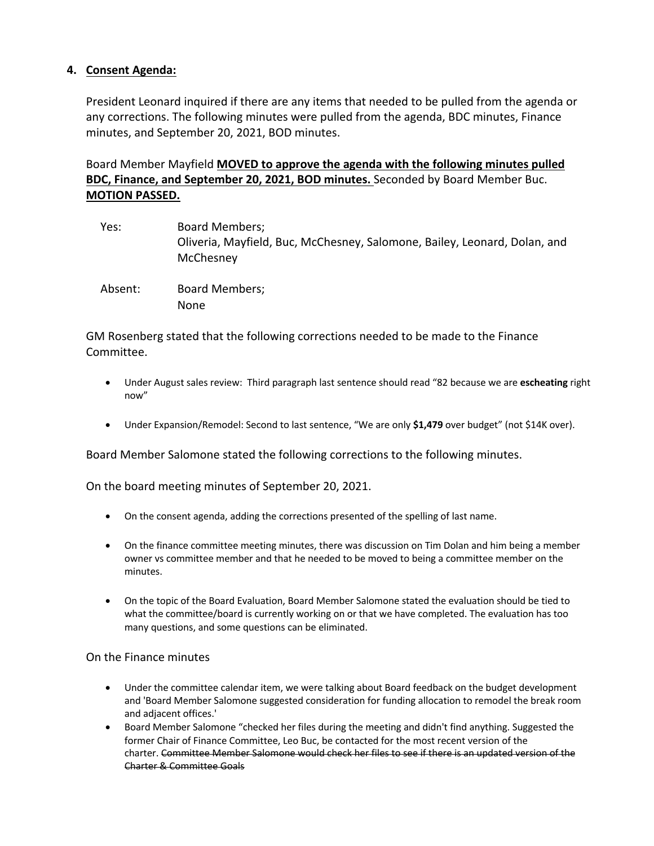## **4. Consent Agenda:**

President Leonard inquired if there are any items that needed to be pulled from the agenda or any corrections. The following minutes were pulled from the agenda, BDC minutes, Finance minutes, and September 20, 2021, BOD minutes.

Board Member Mayfield **MOVED to approve the agenda with the following minutes pulled BDC, Finance, and September 20, 2021, BOD minutes.** Seconded by Board Member Buc. **MOTION PASSED.** 

| Yes:    | <b>Board Members;</b><br>Oliveria, Mayfield, Buc, McChesney, Salomone, Bailey, Leonard, Dolan, and<br>McChesney |
|---------|-----------------------------------------------------------------------------------------------------------------|
| Absent: | Board Members;<br><b>None</b>                                                                                   |

GM Rosenberg stated that the following corrections needed to be made to the Finance Committee.

- Under August sales review: Third paragraph last sentence should read "82 because we are **escheating** right now"
- Under Expansion/Remodel: Second to last sentence, "We are only **\$1,479** over budget" (not \$14K over).

Board Member Salomone stated the following corrections to the following minutes.

On the board meeting minutes of September 20, 2021.

- On the consent agenda, adding the corrections presented of the spelling of last name.
- On the finance committee meeting minutes, there was discussion on Tim Dolan and him being a member owner vs committee member and that he needed to be moved to being a committee member on the minutes.
- On the topic of the Board Evaluation, Board Member Salomone stated the evaluation should be tied to what the committee/board is currently working on or that we have completed. The evaluation has too many questions, and some questions can be eliminated.

### On the Finance minutes

- Under the committee calendar item, we were talking about Board feedback on the budget development and 'Board Member Salomone suggested consideration for funding allocation to remodel the break room and adjacent offices.'
- Board Member Salomone "checked her files during the meeting and didn't find anything. Suggested the former Chair of Finance Committee, Leo Buc, be contacted for the most recent version of the charter. Committee Member Salomone would check her files to see if there is an updated version of the Charter & Committee Goals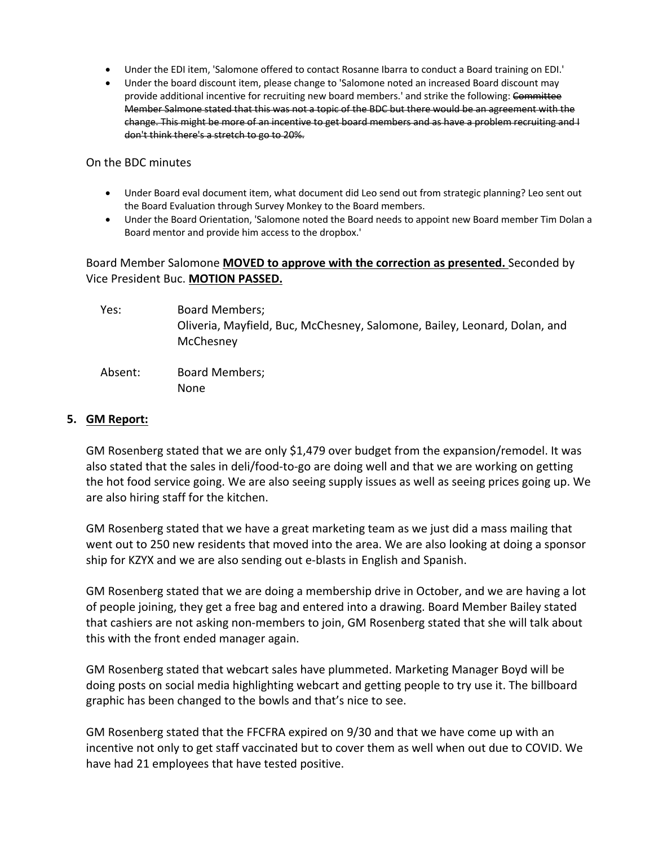- Under the EDI item, 'Salomone offered to contact Rosanne Ibarra to conduct a Board training on EDI.'
- Under the board discount item, please change to 'Salomone noted an increased Board discount may provide additional incentive for recruiting new board members.' and strike the following: Committee Member Salmone stated that this was not a topic of the BDC but there would be an agreement with the change. This might be more of an incentive to get board members and as have a problem recruiting and I don't think there's a stretch to go to 20%.

On the BDC minutes

- Under Board eval document item, what document did Leo send out from strategic planning? Leo sent out the Board Evaluation through Survey Monkey to the Board members.
- Under the Board Orientation, 'Salomone noted the Board needs to appoint new Board member Tim Dolan a Board mentor and provide him access to the dropbox.'

## Board Member Salomone **MOVED to approve with the correction as presented.** Seconded by Vice President Buc. **MOTION PASSED.**

| Yes:    | <b>Board Members;</b><br>Oliveria, Mayfield, Buc, McChesney, Salomone, Bailey, Leonard, Dolan, and<br>McChesney |
|---------|-----------------------------------------------------------------------------------------------------------------|
| Absent: | Board Members;<br>None                                                                                          |

#### **5. GM Report:**

GM Rosenberg stated that we are only \$1,479 over budget from the expansion/remodel. It was also stated that the sales in deli/food-to-go are doing well and that we are working on getting the hot food service going. We are also seeing supply issues as well as seeing prices going up. We are also hiring staff for the kitchen.

GM Rosenberg stated that we have a great marketing team as we just did a mass mailing that went out to 250 new residents that moved into the area. We are also looking at doing a sponsor ship for KZYX and we are also sending out e-blasts in English and Spanish.

GM Rosenberg stated that we are doing a membership drive in October, and we are having a lot of people joining, they get a free bag and entered into a drawing. Board Member Bailey stated that cashiers are not asking non-members to join, GM Rosenberg stated that she will talk about this with the front ended manager again.

GM Rosenberg stated that webcart sales have plummeted. Marketing Manager Boyd will be doing posts on social media highlighting webcart and getting people to try use it. The billboard graphic has been changed to the bowls and that's nice to see.

GM Rosenberg stated that the FFCFRA expired on 9/30 and that we have come up with an incentive not only to get staff vaccinated but to cover them as well when out due to COVID. We have had 21 employees that have tested positive.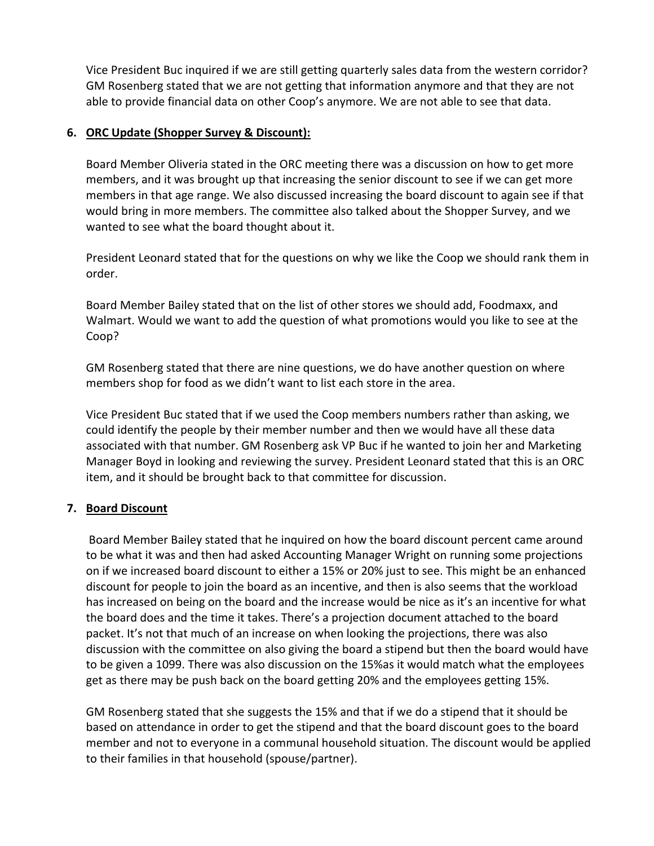Vice President Buc inquired if we are still getting quarterly sales data from the western corridor? GM Rosenberg stated that we are not getting that information anymore and that they are not able to provide financial data on other Coop's anymore. We are not able to see that data.

## **6. ORC Update (Shopper Survey & Discount):**

Board Member Oliveria stated in the ORC meeting there was a discussion on how to get more members, and it was brought up that increasing the senior discount to see if we can get more members in that age range. We also discussed increasing the board discount to again see if that would bring in more members. The committee also talked about the Shopper Survey, and we wanted to see what the board thought about it.

President Leonard stated that for the questions on why we like the Coop we should rank them in order.

Board Member Bailey stated that on the list of other stores we should add, Foodmaxx, and Walmart. Would we want to add the question of what promotions would you like to see at the Coop?

GM Rosenberg stated that there are nine questions, we do have another question on where members shop for food as we didn't want to list each store in the area.

Vice President Buc stated that if we used the Coop members numbers rather than asking, we could identify the people by their member number and then we would have all these data associated with that number. GM Rosenberg ask VP Buc if he wanted to join her and Marketing Manager Boyd in looking and reviewing the survey. President Leonard stated that this is an ORC item, and it should be brought back to that committee for discussion.

# **7. Board Discount**

Board Member Bailey stated that he inquired on how the board discount percent came around to be what it was and then had asked Accounting Manager Wright on running some projections on if we increased board discount to either a 15% or 20% just to see. This might be an enhanced discount for people to join the board as an incentive, and then is also seems that the workload has increased on being on the board and the increase would be nice as it's an incentive for what the board does and the time it takes. There's a projection document attached to the board packet. It's not that much of an increase on when looking the projections, there was also discussion with the committee on also giving the board a stipend but then the board would have to be given a 1099. There was also discussion on the 15%as it would match what the employees get as there may be push back on the board getting 20% and the employees getting 15%.

GM Rosenberg stated that she suggests the 15% and that if we do a stipend that it should be based on attendance in order to get the stipend and that the board discount goes to the board member and not to everyone in a communal household situation. The discount would be applied to their families in that household (spouse/partner).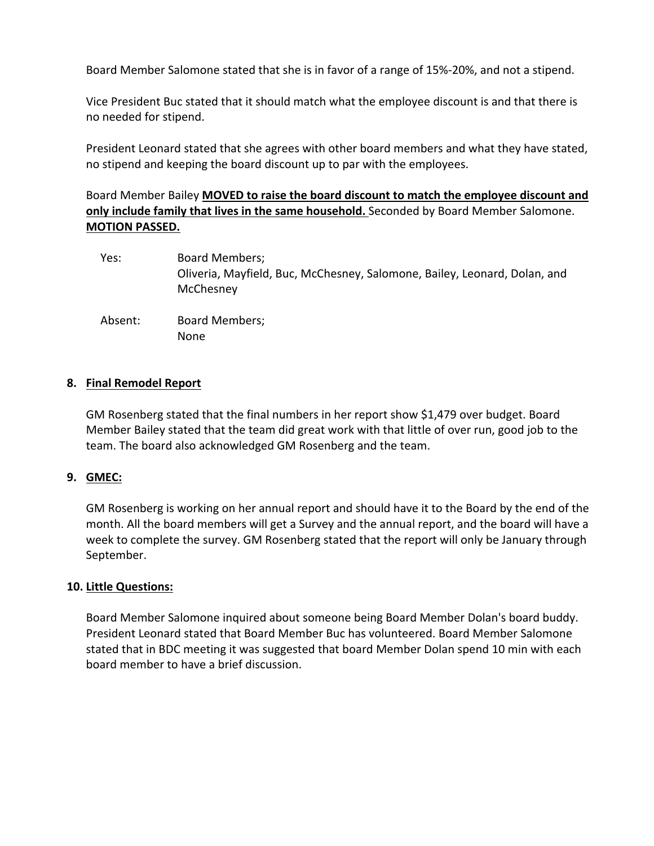Board Member Salomone stated that she is in favor of a range of 15%-20%, and not a stipend.

Vice President Buc stated that it should match what the employee discount is and that there is no needed for stipend.

President Leonard stated that she agrees with other board members and what they have stated, no stipend and keeping the board discount up to par with the employees.

# Board Member Bailey **MOVED to raise the board discount to match the employee discount and only include family that lives in the same household.** Seconded by Board Member Salomone. **MOTION PASSED.**

- Yes: Board Members; Oliveria, Mayfield, Buc, McChesney, Salomone, Bailey, Leonard, Dolan, and **McChesney**
- Absent: Board Members; None

## **8. Final Remodel Report**

GM Rosenberg stated that the final numbers in her report show \$1,479 over budget. Board Member Bailey stated that the team did great work with that little of over run, good job to the team. The board also acknowledged GM Rosenberg and the team.

### **9. GMEC:**

GM Rosenberg is working on her annual report and should have it to the Board by the end of the month. All the board members will get a Survey and the annual report, and the board will have a week to complete the survey. GM Rosenberg stated that the report will only be January through September.

### **10. Little Questions:**

Board Member Salomone inquired about someone being Board Member Dolan's board buddy. President Leonard stated that Board Member Buc has volunteered. Board Member Salomone stated that in BDC meeting it was suggested that board Member Dolan spend 10 min with each board member to have a brief discussion.